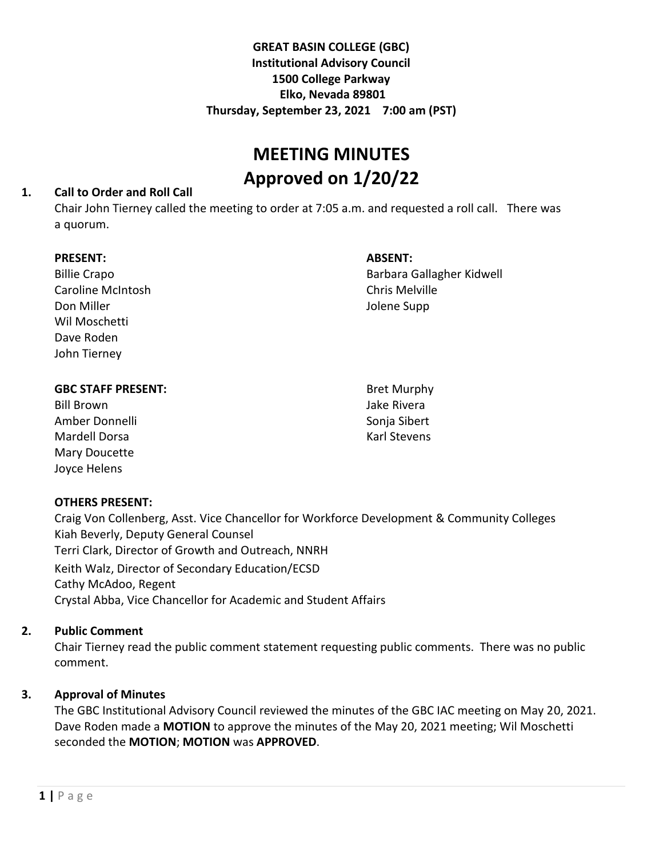# **GREAT BASIN COLLEGE (GBC) Institutional Advisory Council 1500 College Parkway Elko, Nevada 89801 Thursday, September 23, 2021 7:00 am (PST)**

# **MEETING MINUTES Approved on 1/20/22**

#### **1. Call to Order and Roll Call**

Chair John Tierney called the meeting to order at 7:05 a.m. and requested a roll call. There was a quorum.

#### **PRESENT:**

| <b>Billie Crapo</b>      |
|--------------------------|
| <b>Caroline McIntosh</b> |
| Don Miller               |
| Wil Moschetti            |
| Dave Roden               |
| John Tierney             |
|                          |

#### **ABSENT:**

Barbara Gallagher Kidwell Chris Melville Jolene Supp

Bill Brown Amber Donnelli Mardell Dorsa Mary Doucette Joyce Helens

Bret Murphy Jake Rivera Sonja Sibert Karl Stevens

## **OTHERS PRESENT:**

Craig Von Collenberg, Asst. Vice Chancellor for Workforce Development & Community Colleges Kiah Beverly, Deputy General Counsel Terri Clark, Director of Growth and Outreach, NNRH Keith Walz, Director of Secondary Education/ECSD Cathy McAdoo, Regent Crystal Abba, Vice Chancellor for Academic and Student Affairs

## **2. Public Comment**

Chair Tierney read the public comment statement requesting public comments. There was no public comment.

# **3. Approval of Minutes**

The GBC Institutional Advisory Council reviewed the minutes of the GBC IAC meeting on May 20, 2021. Dave Roden made a **MOTION** to approve the minutes of the May 20, 2021 meeting; Wil Moschetti seconded the **MOTION**; **MOTION** was **APPROVED**.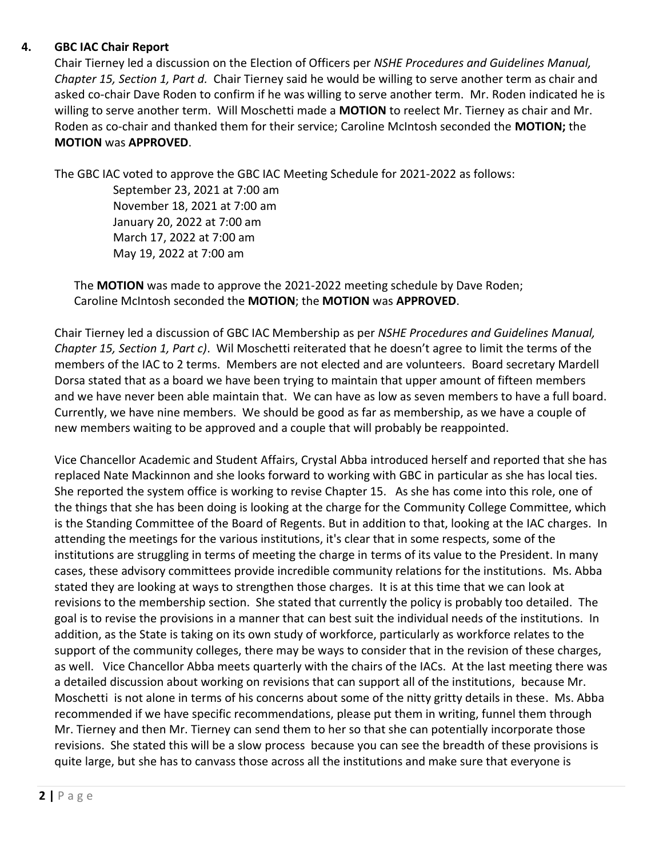## **4. GBC IAC Chair Report**

Chair Tierney led a discussion on the Election of Officers per *NSHE Procedures and Guidelines Manual, Chapter 15, Section 1, Part d.* Chair Tierney said he would be willing to serve another term as chair and asked co-chair Dave Roden to confirm if he was willing to serve another term. Mr. Roden indicated he is willing to serve another term. Will Moschetti made a **MOTION** to reelect Mr. Tierney as chair and Mr. Roden as co-chair and thanked them for their service; Caroline McIntosh seconded the **MOTION;** the **MOTION** was **APPROVED**.

The GBC IAC voted to approve the GBC IAC Meeting Schedule for 2021-2022 as follows:

September 23, 2021 at 7:00 am November 18, 2021 at 7:00 am January 20, 2022 at 7:00 am March 17, 2022 at 7:00 am May 19, 2022 at 7:00 am

The **MOTION** was made to approve the 2021-2022 meeting schedule by Dave Roden; Caroline McIntosh seconded the **MOTION**; the **MOTION** was **APPROVED**.

Chair Tierney led a discussion of GBC IAC Membership as per *NSHE Procedures and Guidelines Manual, Chapter 15, Section 1, Part c)*. Wil Moschetti reiterated that he doesn't agree to limit the terms of the members of the IAC to 2 terms. Members are not elected and are volunteers. Board secretary Mardell Dorsa stated that as a board we have been trying to maintain that upper amount of fifteen members and we have never been able maintain that. We can have as low as seven members to have a full board. Currently, we have nine members. We should be good as far as membership, as we have a couple of new members waiting to be approved and a couple that will probably be reappointed.

Vice Chancellor Academic and Student Affairs, Crystal Abba introduced herself and reported that she has replaced Nate Mackinnon and she looks forward to working with GBC in particular as she has local ties. She reported the system office is working to revise Chapter 15. As she has come into this role, one of the things that she has been doing is looking at the charge for the Community College Committee, which is the Standing Committee of the Board of Regents. But in addition to that, looking at the IAC charges. In attending the meetings for the various institutions, it's clear that in some respects, some of the institutions are struggling in terms of meeting the charge in terms of its value to the President. In many cases, these advisory committees provide incredible community relations for the institutions. Ms. Abba stated they are looking at ways to strengthen those charges. It is at this time that we can look at revisions to the membership section. She stated that currently the policy is probably too detailed. The goal is to revise the provisions in a manner that can best suit the individual needs of the institutions. In addition, as the State is taking on its own study of workforce, particularly as workforce relates to the support of the community colleges, there may be ways to consider that in the revision of these charges, as well. Vice Chancellor Abba meets quarterly with the chairs of the IACs. At the last meeting there was a detailed discussion about working on revisions that can support all of the institutions, because Mr. Moschetti is not alone in terms of his concerns about some of the nitty gritty details in these. Ms. Abba recommended if we have specific recommendations, please put them in writing, funnel them through Mr. Tierney and then Mr. Tierney can send them to her so that she can potentially incorporate those revisions. She stated this will be a slow process because you can see the breadth of these provisions is quite large, but she has to canvass those across all the institutions and make sure that everyone is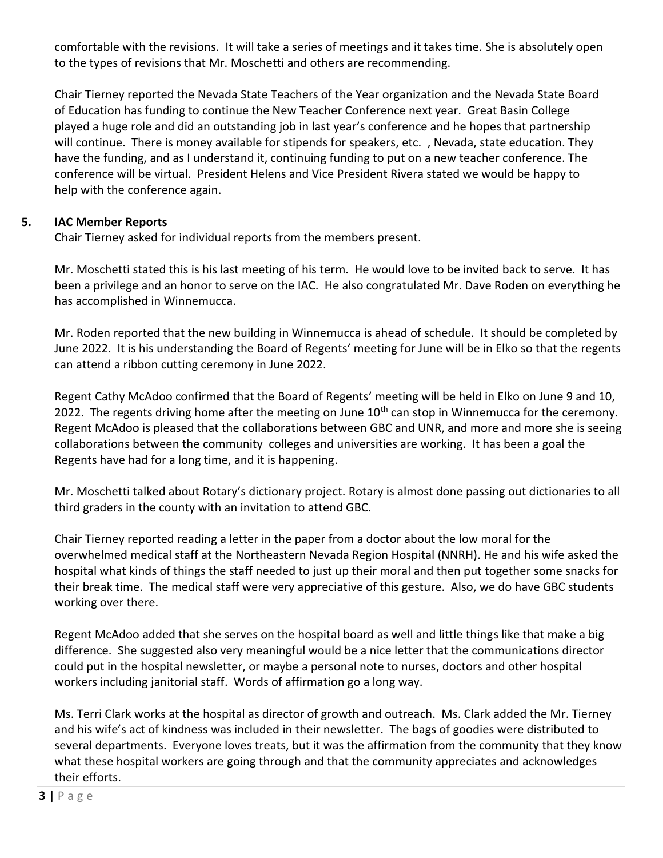comfortable with the revisions. It will take a series of meetings and it takes time. She is absolutely open to the types of revisions that Mr. Moschetti and others are recommending.

Chair Tierney reported the Nevada State Teachers of the Year organization and the Nevada State Board of Education has funding to continue the New Teacher Conference next year. Great Basin College played a huge role and did an outstanding job in last year's conference and he hopes that partnership will continue. There is money available for stipends for speakers, etc., Nevada, state education. They have the funding, and as I understand it, continuing funding to put on a new teacher conference. The conference will be virtual. President Helens and Vice President Rivera stated we would be happy to help with the conference again.

## **5. IAC Member Reports**

Chair Tierney asked for individual reports from the members present.

Mr. Moschetti stated this is his last meeting of his term. He would love to be invited back to serve. It has been a privilege and an honor to serve on the IAC. He also congratulated Mr. Dave Roden on everything he has accomplished in Winnemucca.

Mr. Roden reported that the new building in Winnemucca is ahead of schedule. It should be completed by June 2022. It is his understanding the Board of Regents' meeting for June will be in Elko so that the regents can attend a ribbon cutting ceremony in June 2022.

Regent Cathy McAdoo confirmed that the Board of Regents' meeting will be held in Elko on June 9 and 10, 2022. The regents driving home after the meeting on June 10<sup>th</sup> can stop in Winnemucca for the ceremony. Regent McAdoo is pleased that the collaborations between GBC and UNR, and more and more she is seeing collaborations between the community colleges and universities are working. It has been a goal the Regents have had for a long time, and it is happening.

Mr. Moschetti talked about Rotary's dictionary project. Rotary is almost done passing out dictionaries to all third graders in the county with an invitation to attend GBC.

Chair Tierney reported reading a letter in the paper from a doctor about the low moral for the overwhelmed medical staff at the Northeastern Nevada Region Hospital (NNRH). He and his wife asked the hospital what kinds of things the staff needed to just up their moral and then put together some snacks for their break time. The medical staff were very appreciative of this gesture. Also, we do have GBC students working over there.

Regent McAdoo added that she serves on the hospital board as well and little things like that make a big difference. She suggested also very meaningful would be a nice letter that the communications director could put in the hospital newsletter, or maybe a personal note to nurses, doctors and other hospital workers including janitorial staff. Words of affirmation go a long way.

Ms. Terri Clark works at the hospital as director of growth and outreach. Ms. Clark added the Mr. Tierney and his wife's act of kindness was included in their newsletter. The bags of goodies were distributed to several departments. Everyone loves treats, but it was the affirmation from the community that they know what these hospital workers are going through and that the community appreciates and acknowledges their efforts.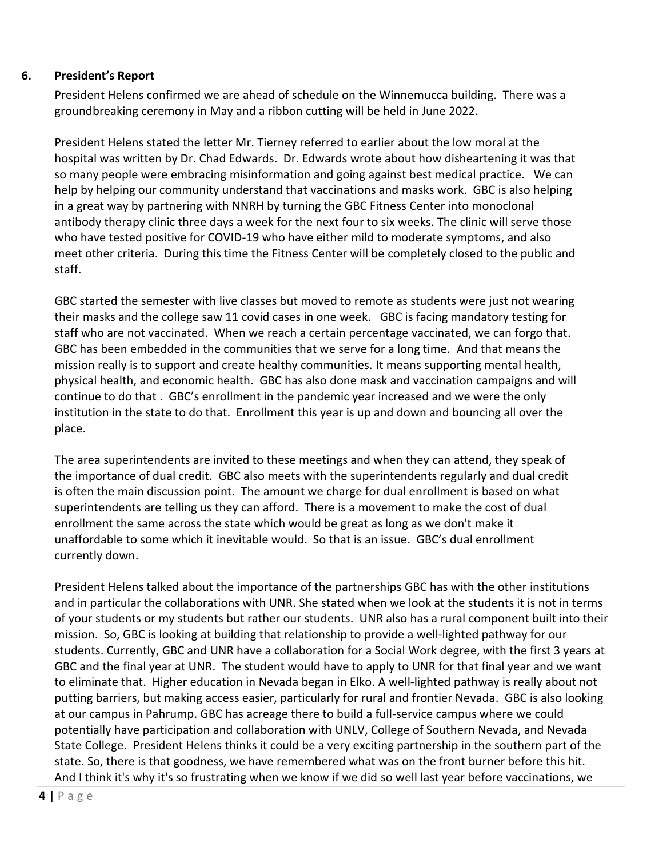#### **6. President's Report**

President Helens confirmed we are ahead of schedule on the Winnemucca building. There was a groundbreaking ceremony in May and a ribbon cutting will be held in June 2022.

President Helens stated the letter Mr. Tierney referred to earlier about the low moral at the hospital was written by Dr. Chad Edwards. Dr. Edwards wrote about how disheartening it was that so many people were embracing misinformation and going against best medical practice. We can help by helping our community understand that vaccinations and masks work. GBC is also helping in a great way by partnering with NNRH by turning the GBC Fitness Center into monoclonal antibody therapy clinic three days a week for the next four to six weeks. The clinic will serve those who have tested positive for COVID-19 who have either mild to moderate symptoms, and also meet other criteria. During this time the Fitness Center will be completely closed to the public and staff.

GBC started the semester with live classes but moved to remote as students were just not wearing their masks and the college saw 11 covid cases in one week. GBC is facing mandatory testing for staff who are not vaccinated. When we reach a certain percentage vaccinated, we can forgo that. GBC has been embedded in the communities that we serve for a long time. And that means the mission really is to support and create healthy communities. It means supporting mental health, physical health, and economic health. GBC has also done mask and vaccination campaigns and will continue to do that . GBC's enrollment in the pandemic year increased and we were the only institution in the state to do that. Enrollment this year is up and down and bouncing all over the place.

The area superintendents are invited to these meetings and when they can attend, they speak of the importance of dual credit. GBC also meets with the superintendents regularly and dual credit is often the main discussion point. The amount we charge for dual enrollment is based on what superintendents are telling us they can afford. There is a movement to make the cost of dual enrollment the same across the state which would be great as long as we don't make it unaffordable to some which it inevitable would. So that is an issue. GBC's dual enrollment currently down.

President Helens talked about the importance of the partnerships GBC has with the other institutions and in particular the collaborations with UNR. She stated when we look at the students it is not in terms of your students or my students but rather our students. UNR also has a rural component built into their mission. So, GBC is looking at building that relationship to provide a well-lighted pathway for our students. Currently, GBC and UNR have a collaboration for a Social Work degree, with the first 3 years at GBC and the final year at UNR. The student would have to apply to UNR for that final year and we want to eliminate that. Higher education in Nevada began in Elko. A well-lighted pathway is really about not putting barriers, but making access easier, particularly for rural and frontier Nevada. GBC is also looking at our campus in Pahrump. GBC has acreage there to build a full-service campus where we could potentially have participation and collaboration with UNLV, College of Southern Nevada, and Nevada State College. President Helens thinks it could be a very exciting partnership in the southern part of the state. So, there is that goodness, we have remembered what was on the front burner before this hit. And I think it's why it's so frustrating when we know if we did so well last year before vaccinations, we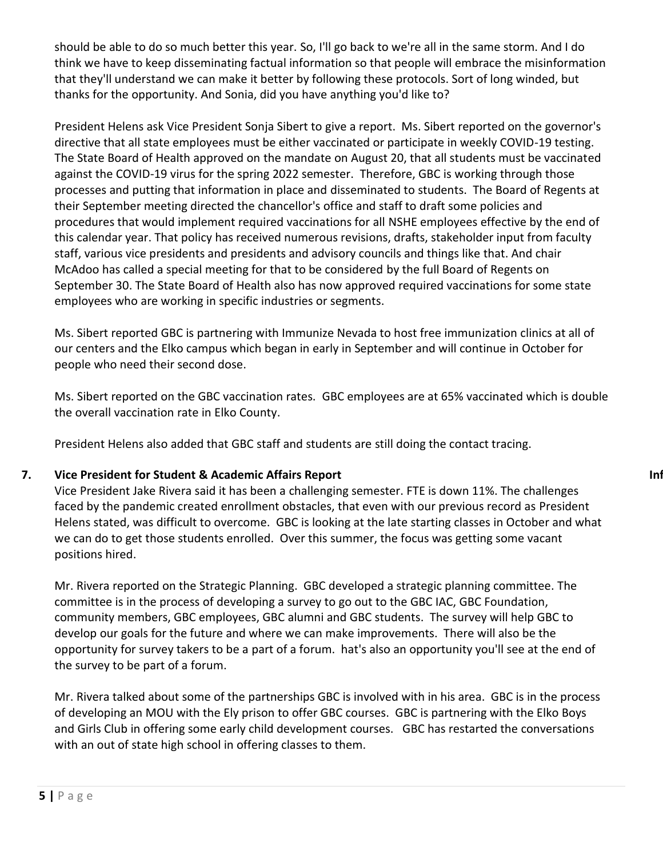should be able to do so much better this year. So, I'll go back to we're all in the same storm. And I do think we have to keep disseminating factual information so that people will embrace the misinformation that they'll understand we can make it better by following these protocols. Sort of long winded, but thanks for the opportunity. And Sonia, did you have anything you'd like to?

President Helens ask Vice President Sonja Sibert to give a report. Ms. Sibert reported on the governor's directive that all state employees must be either vaccinated or participate in weekly COVID-19 testing. The State Board of Health approved on the mandate on August 20, that all students must be vaccinated against the COVID-19 virus for the spring 2022 semester. Therefore, GBC is working through those processes and putting that information in place and disseminated to students. The Board of Regents at their September meeting directed the chancellor's office and staff to draft some policies and procedures that would implement required vaccinations for all NSHE employees effective by the end of this calendar year. That policy has received numerous revisions, drafts, stakeholder input from faculty staff, various vice presidents and presidents and advisory councils and things like that. And chair McAdoo has called a special meeting for that to be considered by the full Board of Regents on September 30. The State Board of Health also has now approved required vaccinations for some state employees who are working in specific industries or segments.

Ms. Sibert reported GBC is partnering with Immunize Nevada to host free immunization clinics at all of our centers and the Elko campus which began in early in September and will continue in October for people who need their second dose.

Ms. Sibert reported on the GBC vaccination rates. GBC employees are at 65% vaccinated which is double the overall vaccination rate in Elko County.

President Helens also added that GBC staff and students are still doing the contact tracing.

## **7. Vice President for Student & Academic Affairs Report <b>Information Information Information Information**

Vice President Jake Rivera said it has been a challenging semester. FTE is down 11%. The challenges faced by the pandemic created enrollment obstacles, that even with our previous record as President Helens stated, was difficult to overcome. GBC is looking at the late starting classes in October and what we can do to get those students enrolled. Over this summer, the focus was getting some vacant positions hired.

Mr. Rivera reported on the Strategic Planning. GBC developed a strategic planning committee. The committee is in the process of developing a survey to go out to the GBC IAC, GBC Foundation, community members, GBC employees, GBC alumni and GBC students. The survey will help GBC to develop our goals for the future and where we can make improvements. There will also be the opportunity for survey takers to be a part of a forum. hat's also an opportunity you'll see at the end of the survey to be part of a forum.

Mr. Rivera talked about some of the partnerships GBC is involved with in his area. GBC is in the process of developing an MOU with the Ely prison to offer GBC courses. GBC is partnering with the Elko Boys and Girls Club in offering some early child development courses. GBC has restarted the conversations with an out of state high school in offering classes to them.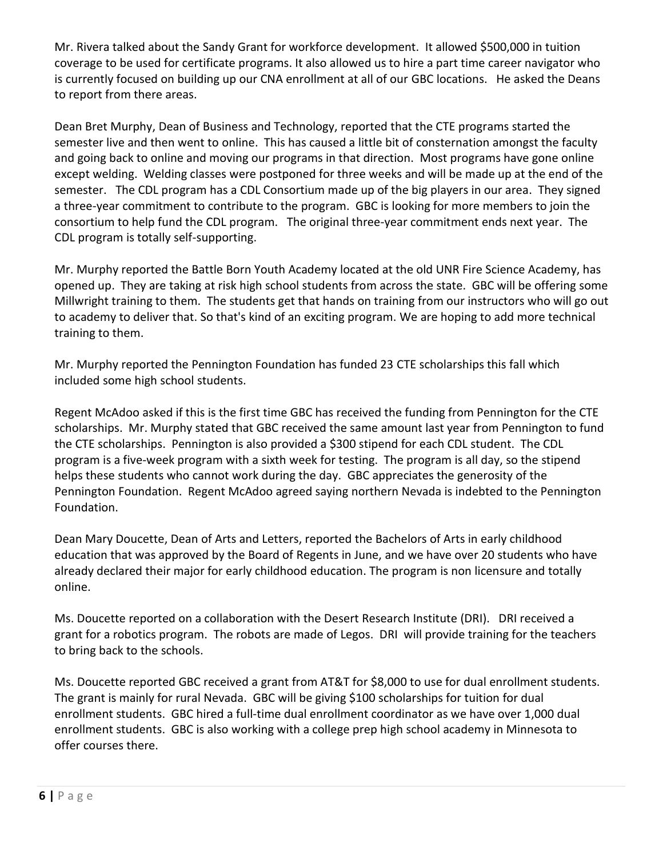Mr. Rivera talked about the Sandy Grant for workforce development. It allowed \$500,000 in tuition coverage to be used for certificate programs. It also allowed us to hire a part time career navigator who is currently focused on building up our CNA enrollment at all of our GBC locations. He asked the Deans to report from there areas.

Dean Bret Murphy, Dean of Business and Technology, reported that the CTE programs started the semester live and then went to online. This has caused a little bit of consternation amongst the faculty and going back to online and moving our programs in that direction. Most programs have gone online except welding. Welding classes were postponed for three weeks and will be made up at the end of the semester. The CDL program has a CDL Consortium made up of the big players in our area. They signed a three-year commitment to contribute to the program. GBC is looking for more members to join the consortium to help fund the CDL program. The original three-year commitment ends next year. The CDL program is totally self-supporting.

Mr. Murphy reported the Battle Born Youth Academy located at the old UNR Fire Science Academy, has opened up. They are taking at risk high school students from across the state. GBC will be offering some Millwright training to them. The students get that hands on training from our instructors who will go out to academy to deliver that. So that's kind of an exciting program. We are hoping to add more technical training to them.

Mr. Murphy reported the Pennington Foundation has funded 23 CTE scholarships this fall which included some high school students.

Regent McAdoo asked if this is the first time GBC has received the funding from Pennington for the CTE scholarships. Mr. Murphy stated that GBC received the same amount last year from Pennington to fund the CTE scholarships. Pennington is also provided a \$300 stipend for each CDL student. The CDL program is a five-week program with a sixth week for testing. The program is all day, so the stipend helps these students who cannot work during the day. GBC appreciates the generosity of the Pennington Foundation. Regent McAdoo agreed saying northern Nevada is indebted to the Pennington Foundation.

Dean Mary Doucette, Dean of Arts and Letters, reported the Bachelors of Arts in early childhood education that was approved by the Board of Regents in June, and we have over 20 students who have already declared their major for early childhood education. The program is non licensure and totally online.

Ms. Doucette reported on a collaboration with the Desert Research Institute (DRI). DRI received a grant for a robotics program. The robots are made of Legos. DRI will provide training for the teachers to bring back to the schools.

Ms. Doucette reported GBC received a grant from AT&T for \$8,000 to use for dual enrollment students. The grant is mainly for rural Nevada. GBC will be giving \$100 scholarships for tuition for dual enrollment students. GBC hired a full-time dual enrollment coordinator as we have over 1,000 dual enrollment students. GBC is also working with a college prep high school academy in Minnesota to offer courses there.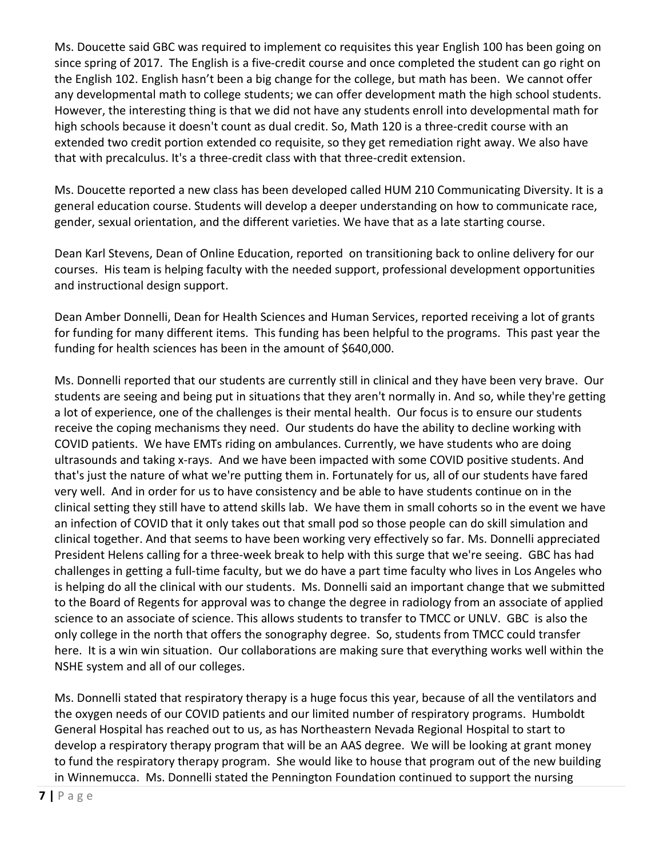Ms. Doucette said GBC was required to implement co requisites this year English 100 has been going on since spring of 2017. The English is a five-credit course and once completed the student can go right on the English 102. English hasn't been a big change for the college, but math has been. We cannot offer any developmental math to college students; we can offer development math the high school students. However, the interesting thing is that we did not have any students enroll into developmental math for high schools because it doesn't count as dual credit. So, Math 120 is a three-credit course with an extended two credit portion extended co requisite, so they get remediation right away. We also have that with precalculus. It's a three-credit class with that three-credit extension.

Ms. Doucette reported a new class has been developed called HUM 210 Communicating Diversity. It is a general education course. Students will develop a deeper understanding on how to communicate race, gender, sexual orientation, and the different varieties. We have that as a late starting course.

Dean Karl Stevens, Dean of Online Education, reported on transitioning back to online delivery for our courses. His team is helping faculty with the needed support, professional development opportunities and instructional design support.

Dean Amber Donnelli, Dean for Health Sciences and Human Services, reported receiving a lot of grants for funding for many different items. This funding has been helpful to the programs. This past year the funding for health sciences has been in the amount of \$640,000.

Ms. Donnelli reported that our students are currently still in clinical and they have been very brave. Our students are seeing and being put in situations that they aren't normally in. And so, while they're getting a lot of experience, one of the challenges is their mental health. Our focus is to ensure our students receive the coping mechanisms they need. Our students do have the ability to decline working with COVID patients. We have EMTs riding on ambulances. Currently, we have students who are doing ultrasounds and taking x-rays. And we have been impacted with some COVID positive students. And that's just the nature of what we're putting them in. Fortunately for us, all of our students have fared very well. And in order for us to have consistency and be able to have students continue on in the clinical setting they still have to attend skills lab. We have them in small cohorts so in the event we have an infection of COVID that it only takes out that small pod so those people can do skill simulation and clinical together. And that seems to have been working very effectively so far. Ms. Donnelli appreciated President Helens calling for a three-week break to help with this surge that we're seeing. GBC has had challenges in getting a full-time faculty, but we do have a part time faculty who lives in Los Angeles who is helping do all the clinical with our students. Ms. Donnelli said an important change that we submitted to the Board of Regents for approval was to change the degree in radiology from an associate of applied science to an associate of science. This allows students to transfer to TMCC or UNLV. GBC is also the only college in the north that offers the sonography degree. So, students from TMCC could transfer here. It is a win win situation. Our collaborations are making sure that everything works well within the NSHE system and all of our colleges.

Ms. Donnelli stated that respiratory therapy is a huge focus this year, because of all the ventilators and the oxygen needs of our COVID patients and our limited number of respiratory programs. Humboldt General Hospital has reached out to us, as has Northeastern Nevada Regional Hospital to start to develop a respiratory therapy program that will be an AAS degree. We will be looking at grant money to fund the respiratory therapy program. She would like to house that program out of the new building in Winnemucca. Ms. Donnelli stated the Pennington Foundation continued to support the nursing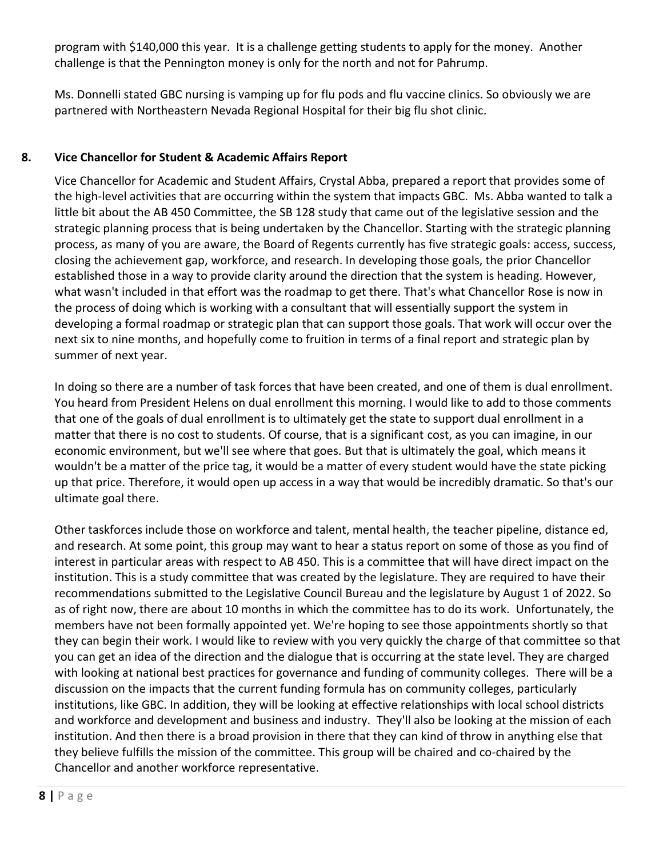program with \$140,000 this year. It is a challenge getting students to apply for the money. Another challenge is that the Pennington money is only for the north and not for Pahrump.

Ms. Donnelli stated GBC nursing is vamping up for flu pods and flu vaccine clinics. So obviously we are partnered with Northeastern Nevada Regional Hospital for their big flu shot clinic.

# **8. Vice Chancellor for Student & Academic Affairs Report**

Vice Chancellor for Academic and Student Affairs, Crystal Abba, prepared a report that provides some of the high-level activities that are occurring within the system that impacts GBC. Ms. Abba wanted to talk a little bit about the AB 450 Committee, the SB 128 study that came out of the legislative session and the strategic planning process that is being undertaken by the Chancellor. Starting with the strategic planning process, as many of you are aware, the Board of Regents currently has five strategic goals: access, success, closing the achievement gap, workforce, and research. In developing those goals, the prior Chancellor established those in a way to provide clarity around the direction that the system is heading. However, what wasn't included in that effort was the roadmap to get there. That's what Chancellor Rose is now in the process of doing which is working with a consultant that will essentially support the system in developing a formal roadmap or strategic plan that can support those goals. That work will occur over the next six to nine months, and hopefully come to fruition in terms of a final report and strategic plan by summer of next year.

In doing so there are a number of task forces that have been created, and one of them is dual enrollment. You heard from President Helens on dual enrollment this morning. I would like to add to those comments that one of the goals of dual enrollment is to ultimately get the state to support dual enrollment in a matter that there is no cost to students. Of course, that is a significant cost, as you can imagine, in our economic environment, but we'll see where that goes. But that is ultimately the goal, which means it wouldn't be a matter of the price tag, it would be a matter of every student would have the state picking up that price. Therefore, it would open up access in a way that would be incredibly dramatic. So that's our ultimate goal there.

Other taskforces include those on workforce and talent, mental health, the teacher pipeline, distance ed, and research. At some point, this group may want to hear a status report on some of those as you find of interest in particular areas with respect to AB 450. This is a committee that will have direct impact on the institution. This is a study committee that was created by the legislature. They are required to have their recommendations submitted to the Legislative Council Bureau and the legislature by August 1 of 2022. So as of right now, there are about 10 months in which the committee has to do its work. Unfortunately, the members have not been formally appointed yet. We're hoping to see those appointments shortly so that they can begin their work. I would like to review with you very quickly the charge of that committee so that you can get an idea of the direction and the dialogue that is occurring at the state level. They are charged with looking at national best practices for governance and funding of community colleges. There will be a discussion on the impacts that the current funding formula has on community colleges, particularly institutions, like GBC. In addition, they will be looking at effective relationships with local school districts and workforce and development and business and industry. They'll also be looking at the mission of each institution. And then there is a broad provision in there that they can kind of throw in anything else that they believe fulfills the mission of the committee. This group will be chaired and co-chaired by the Chancellor and another workforce representative.